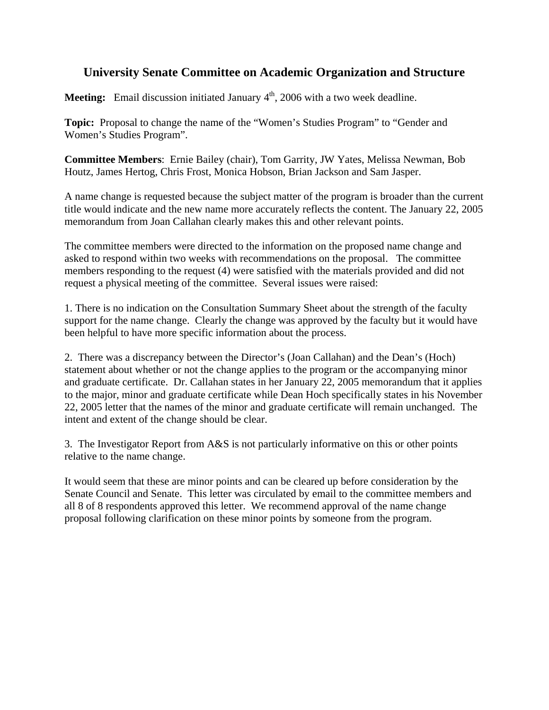## **University Senate Committee on Academic Organization and Structure**

**Meeting:** Email discussion initiated January 4<sup>th</sup>, 2006 with a two week deadline.

**Topic:** Proposal to change the name of the "Women's Studies Program" to "Gender and Women's Studies Program".

**Committee Members**: Ernie Bailey (chair), Tom Garrity, JW Yates, Melissa Newman, Bob Houtz, James Hertog, Chris Frost, Monica Hobson, Brian Jackson and Sam Jasper.

A name change is requested because the subject matter of the program is broader than the current title would indicate and the new name more accurately reflects the content. The January 22, 2005 memorandum from Joan Callahan clearly makes this and other relevant points.

The committee members were directed to the information on the proposed name change and asked to respond within two weeks with recommendations on the proposal. The committee members responding to the request (4) were satisfied with the materials provided and did not request a physical meeting of the committee. Several issues were raised:

1. There is no indication on the Consultation Summary Sheet about the strength of the faculty support for the name change. Clearly the change was approved by the faculty but it would have been helpful to have more specific information about the process.

2. There was a discrepancy between the Director's (Joan Callahan) and the Dean's (Hoch) statement about whether or not the change applies to the program or the accompanying minor and graduate certificate. Dr. Callahan states in her January 22, 2005 memorandum that it applies to the major, minor and graduate certificate while Dean Hoch specifically states in his November 22, 2005 letter that the names of the minor and graduate certificate will remain unchanged. The intent and extent of the change should be clear.

3. The Investigator Report from A&S is not particularly informative on this or other points relative to the name change.

It would seem that these are minor points and can be cleared up before consideration by the Senate Council and Senate. This letter was circulated by email to the committee members and all 8 of 8 respondents approved this letter. We recommend approval of the name change proposal following clarification on these minor points by someone from the program.